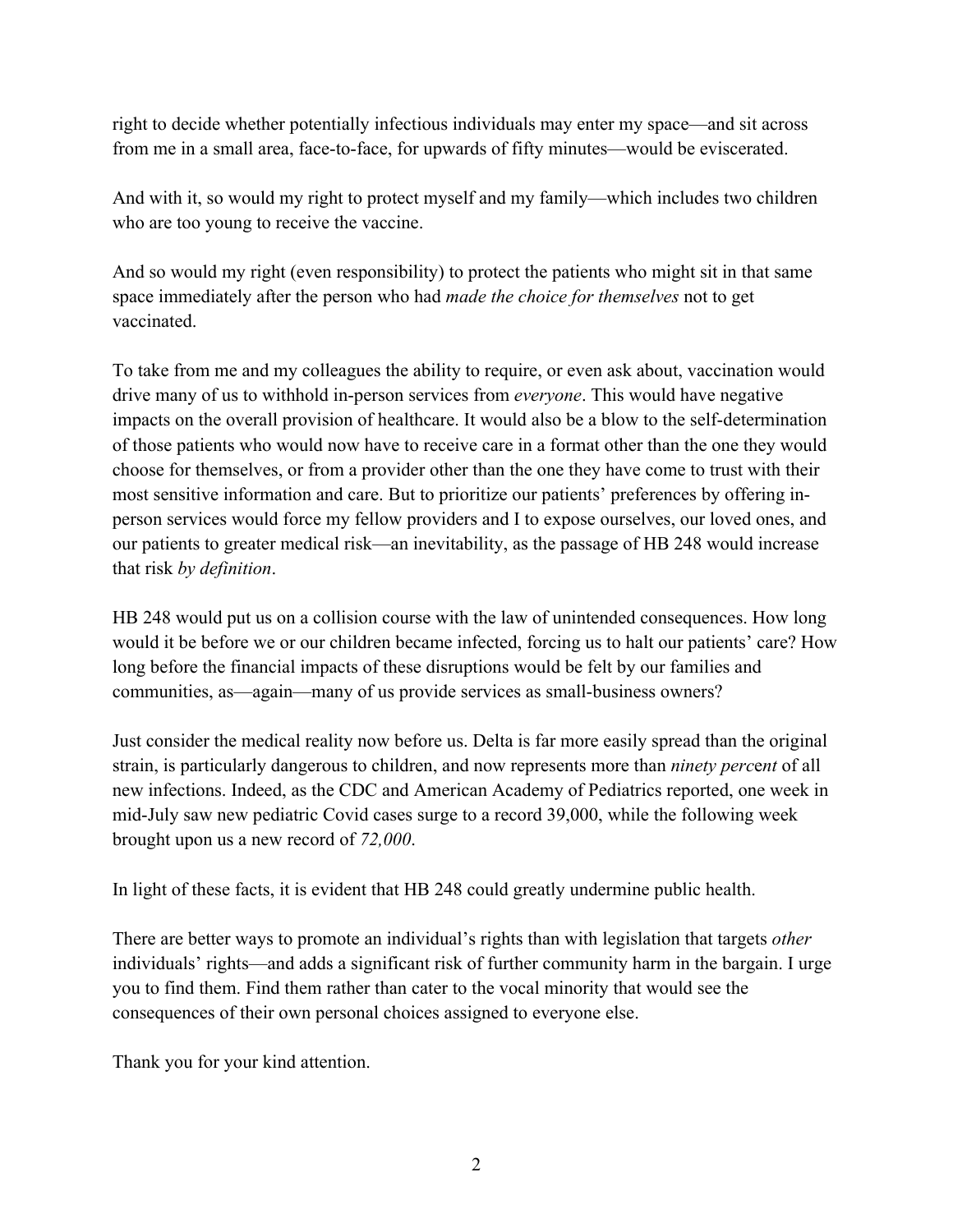right to decide whether potentially infectious individuals may enter my space—and sit across from me in a small area, face-to-face, for upwards of fifty minutes—would be eviscerated.

And with it, so would my right to protect myself and my family—which includes two children who are too young to receive the vaccine.

And so would my right (even responsibility) to protect the patients who might sit in that same space immediately after the person who had *made the choice for themselves* not to get vaccinated.

To take from me and my colleagues the ability to require, or even ask about, vaccination would drive many of us to withhold in-person services from *everyone*. This would have negative impacts on the overall provision of healthcare. It would also be a blow to the self-determination of those patients who would now have to receive care in a format other than the one they would choose for themselves, or from a provider other than the one they have come to trust with their most sensitive information and care. But to prioritize our patients' preferences by offering inperson services would force my fellow providers and I to expose ourselves, our loved ones, and our patients to greater medical risk—an inevitability, as the passage of HB 248 would increase that risk *by definition*.

HB 248 would put us on a collision course with the law of unintended consequences. How long would it be before we or our children became infected, forcing us to halt our patients' care? How long before the financial impacts of these disruptions would be felt by our families and communities, as—again—many of us provide services as small-business owners?

Just consider the medical reality now before us. Delta is far more easily spread than the original strain, is particularly dangerous to children, and now represents more than *ninety perc*e*nt* of all new infections. Indeed, as the CDC and American Academy of Pediatrics reported, one week in mid-July saw new pediatric Covid cases surge to a record 39,000, while the following week brought upon us a new record of *72,000*.

In light of these facts, it is evident that HB 248 could greatly undermine public health.

There are better ways to promote an individual's rights than with legislation that targets *other*  individuals' rights—and adds a significant risk of further community harm in the bargain. I urge you to find them. Find them rather than cater to the vocal minority that would see the consequences of their own personal choices assigned to everyone else.

Thank you for your kind attention.